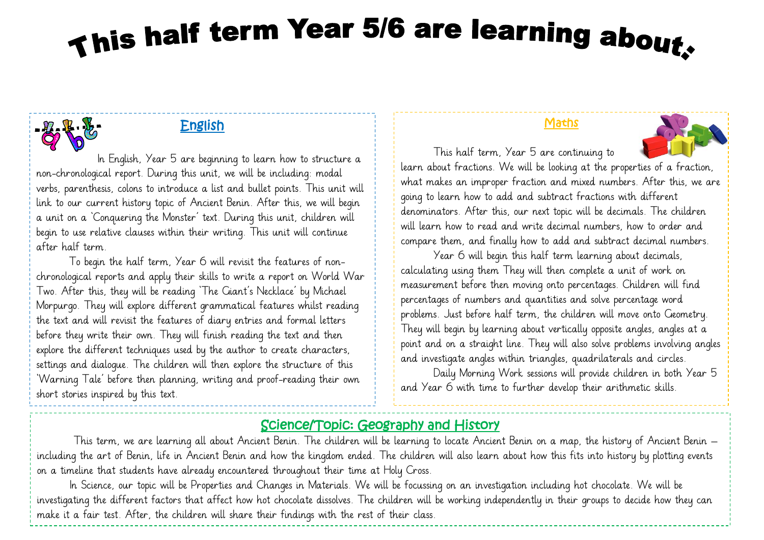# This half term Year 5/6 are learning about.

# English

 In English, Year 5 are beginning to learn how to structure a non-chronological report. During this unit, we will be including: modal verbs, parenthesis, colons to introduce a list and bullet points. This unit will link to our current history topic of Ancient Benin. After this, we will begin a unit on a 'Conquering the Monster' text. During this unit, children will begin to use relative clauses within their writing. This unit will continue after half term.

To begin the half term, Year 6 will revisit the features of nonchronological reports and apply their skills to write a report on World War Two. After this, they will be reading 'The Giant's Necklace' by Michael Morpurgo. They will explore different grammatical features whilst reading the text and will revisit the features of diary entries and formal letters before they write their own. They will finish reading the text and then explore the different techniques used by the author to create characters, settings and dialogue. The children will then explore the structure of this 'Warning Tale' before then planning, writing and proof-reading their own short stories inspired by this text.

#### **Maths**



Year 6 will begin this half term learning about decimals, calculating using them They will then complete a unit of work on measurement before then moving onto percentages. Children will find percentages of numbers and quantities and solve percentage word problems. Just before half term, the children will move onto Geometry. They will begin by learning about vertically opposite angles, angles at a point and on a straight line. They will also solve problems involving angles and investigate angles within triangles, quadrilaterals and circles.

Daily Morning Work sessions will provide children in both Year 5 and Year 6 with time to further develop their arithmetic skills.

# Science/Topic: Geography and History

This term, we are learning all about Ancient Benin. The children will be learning to locate Ancient Benin on a map, the history of Ancient Benin – including the art of Benin, life in Ancient Benin and how the kingdom ended. The children will also learn about how this fits into history by plotting events on a timeline that students have already encountered throughout their time at Holy Cross.

In Science, our topic will be Properties and Changes in Materials. We will be focussing on an investigation including hot chocolate. We will be investigating the different factors that affect how hot chocolate dissolves. The children will be working independently in their groups to decide how they can make it a fair test. After, the children will share their findings with the rest of their class.